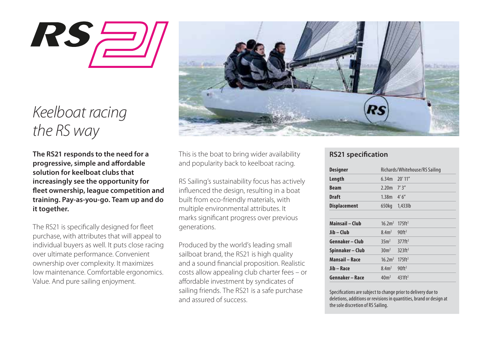

# *Keelboat racing the RS way*

**The RS21 responds to the need for a progressive, simple and affordable solution for keelboat clubs that increasingly see the opportunity for eet ownership, league competition and training. Pay-as-you-go. Team up and do it together.**

The RS21 is specifically designed for fleet purchase, with attributes that will appeal to individual buyers as well. It puts close racing over ultimate performance. Convenient ownership over complexity. It maximizes low maintenance. Comfortable ergonomics. Value. And pure sailing enjoyment.



This is the boat to bring wider availability and popularity back to keelboat racing.

RS Sailing's sustainability focus has actively influenced the design, resulting in a boat built from eco-friendly materials, with multiple environmental attributes. It marks significant progress over previous generations.

Produced by the world's leading small sailboat brand, the RS21 is high quality and a sound financial proposition. Realistic costs allow appealing club charter fees – or affordable investment by syndicates of sailing friends. The RS21 is a safe purchase and assured of success.

# **RS21 specification**

| Designer              | Richards/Whitehouse/RS Sailing |                      |
|-----------------------|--------------------------------|----------------------|
| Length                | 6.34m                          | $20'$ 11"            |
| <b>Beam</b>           | 2.20 <sub>m</sub>              | 7'3''                |
| Draft                 | 1.38 <sub>m</sub>              | 4'6''                |
| <b>Displacement</b>   | 650kg                          | $1.433$ lb           |
| Mainsail - Club       | 16.2 <sup>2</sup>              | 175ft <sup>2</sup>   |
| Jib – Club            | 8.4 <sup>2</sup>               | $90$ ft <sup>2</sup> |
| Gennaker – Club       | 35m <sup>2</sup>               | 377ff <sup>2</sup>   |
| Spinnaker - Club      | 30m <sup>2</sup>               | 323ft <sup>2</sup>   |
| <b>Mansail – Race</b> | 16.2 <sup>2</sup>              | 175ff <sup>2</sup>   |
| Jib - Race            | 8.4 <sup>2</sup>               | $90$ ft <sup>2</sup> |
| Gennaker - Race       | 40 <sup>m²</sup>               | 431ff <sup>2</sup>   |

Specifications are subject to change prior to delivery due to deletions, additions or revisions in quantities, brand or design at the sole discretion of RS Sailing.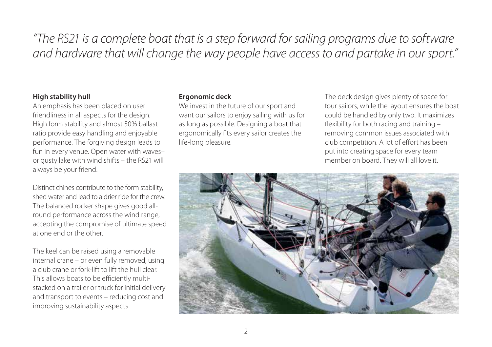# *"The RS21 is a complete boat that is a step forward for sailing programs due to software and hardware that will change the way people have access to and partake in our sport."*

## **High stability hull**

An emphasis has been placed on user friendliness in all aspects for the design. High form stability and almost 50% ballast ratio provide easy handling and enjoyable performance. The forgiving design leads to fun in every venue. Open water with waves– or gusty lake with wind shifts – the RS21 will always be your friend.

Distinct chines contribute to the form stability, shed water and lead to a drier ride for the crew. The balanced rocker shape gives good allround performance across the wind range, accepting the compromise of ultimate speed at one end or the other.

The keel can be raised using a removable internal crane – or even fully removed, using a club crane or fork-lift to lift the hull clear. This allows boats to be efficiently multistacked on a trailer or truck for initial delivery and transport to events – reducing cost and improving sustainability aspects.

# **Ergonomic deck**

We invest in the future of our sport and want our sailors to enjoy sailing with us for as long as possible. Designing a boat that ergonomically fits every sailor creates the life-long pleasure.

The deck design gives plenty of space for four sailors, while the layout ensures the boat could be handled by only two. It maximizes flexibility for both racing and training  $$ removing common issues associated with club competition. A lot of effort has been put into creating space for every team member on board. They will all love it.

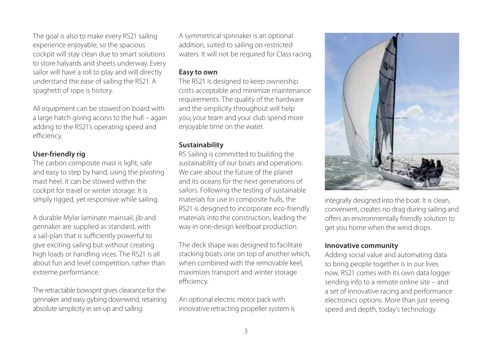The goal is also to make every RS21 sailing experience enjoyable, so the spacious cockpit will stay clean due to smart solutions to store halyards and sheets underway. Every sailor will have a roll to play and will directly understand the ease of sailing the RS21. A spaghetti of rope is history.

All equipment can be stowed on board with a large hatch giving access to the hull – again adding to the RS21's operating speed and efficiency.

## **User-friendly rig**

The carbon composite mast is light, safe and easy to step by hand, using the pivoting mast heel. It can be stowed within the cockpit for travel or winter storage. It is simply rigged, yet responsive while sailing.

A durable Mylar laminate mainsail, jib and gennaker are supplied as standard, with a sail-plan that is sufficiently powerful to give exciting sailing but without creating high loads or handling vices. The RS21 is all about fun and level competition, rather than extreme performance.

The retractable bowsprit gives clearance for the gennaker and easy gybing downwind, retaining absolute simplicity in set-up and sailing.

A symmetrical spinnaker is an optional addition, suited to sailing on restricted waters. It will not be required for Class racing.

#### **Easy to own**

The RS21 is designed to keep ownership costs acceptable and minimize maintenance requirements. The quality of the hardware and the simplicity throughout will help you, your team and your club spend more enjoyable time on the water.

# **Sustainability**

RS Sailing is committed to building the sustainability of our boats and operations. We care about the future of the planet and its oceans for the next generations of sailors. Following the testing of sustainable materials for use in composite hulls, the RS21 is designed to incorporate eco-friendly materials into the construction, leading the way in one-design keelboat production.

The deck shape was designed to facilitate stacking boats one on top of another which, when combined with the removable keel, maximizes transport and winter storage efficiency.

An optional electric motor pack with innovative retracting propeller system is



integrally designed into the boat. It is clean, convenient, creates no drag during sailing and offers an environmentally friendly solution to get you home when the wind drops.

#### **Innovative community**

Adding social value and automating data to bring people together is in our lives now. RS21 comes with its own data logger sending info to a remote online site – and a set of innovative racing and performance electronics options. More than just seeing speed and depth, today's technology